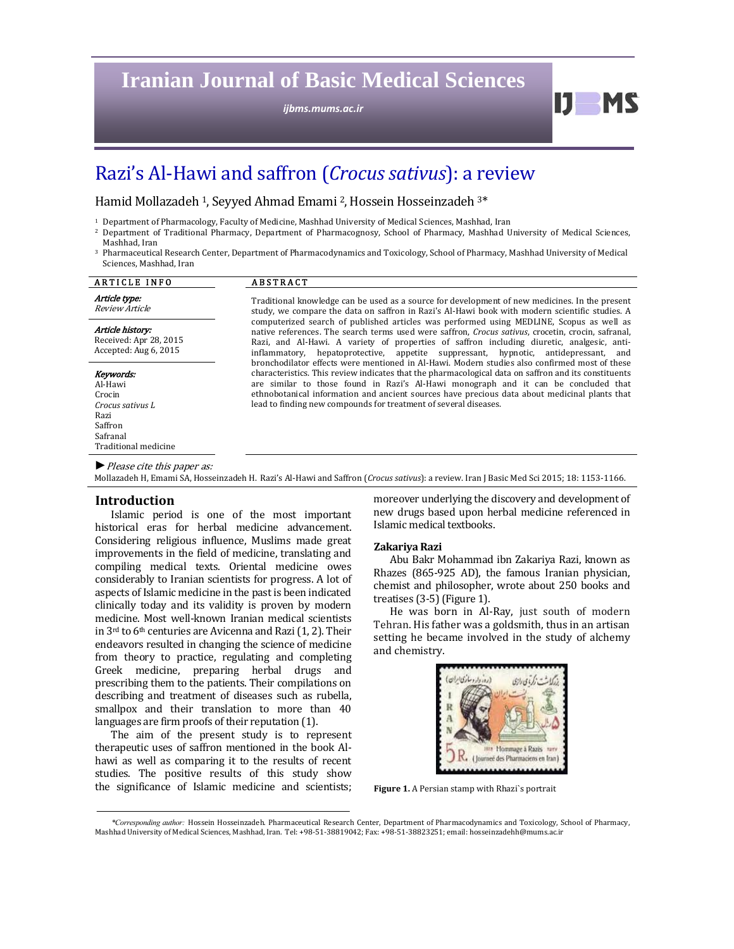# **Iranian Journal of Basic Medical Sciences**

*ijbms.mums.ac.ir*

# Razi's Al-Hawi and saffron (*Crocus sativus*): a review

Hamid Mollazadeh <sup>1</sup>, Seyyed Ahmad Emami <sup>2</sup>, Hossein Hosseinzadeh <sup>3\*</sup>

- $1$  Department of Pharmacology, Faculty of Medicine, Mashhad University of Medical Sciences, Mashhad, Iran
- <sup>2</sup> Department of Traditional Pharmacy, Department of Pharmacognosy, School of Pharmacy, Mashhad University of Medical Sciences, Mashhad, Iran
- <sup>3</sup> Pharmaceutical Research Center, Department of Pharmacodynamics and Toxicology, School of Pharmacy, Mashhad University of Medical Sciences, Mashhad, Iran

| <b>ARTICLE INFO</b>                                                                                       | <b>ABSTRACT</b>                                                                                                                                                                                                                                                                                                                                                                                                                                                                              |  |  |  |
|-----------------------------------------------------------------------------------------------------------|----------------------------------------------------------------------------------------------------------------------------------------------------------------------------------------------------------------------------------------------------------------------------------------------------------------------------------------------------------------------------------------------------------------------------------------------------------------------------------------------|--|--|--|
| Article type:<br>Review Article                                                                           | Traditional knowledge can be used as a source for development of new medicines. In the present<br>study, we compare the data on saffron in Razi's Al-Hawi book with modern scientific studies. A                                                                                                                                                                                                                                                                                             |  |  |  |
| Article history:<br>Received: Apr 28, 2015<br>Accepted: Aug 6, 2015                                       | computerized search of published articles was performed using MEDLINE, Scopus as well as<br>native references. The search terms used were saffron, <i>Crocus sativus</i> , crocetin, crocin, safranal,<br>Razi, and Al-Hawi. A variety of properties of saffron including diuretic, analgesic, anti-<br>inflammatory, hepatoprotective, appetite suppressant, hypnotic, antidepressant, and<br>bronchodilator effects were mentioned in Al-Hawi. Modern studies also confirmed most of these |  |  |  |
| Keywords:<br>Al-Hawi<br>Crocin<br>Crocus sativus L<br>Razi<br>Saffron<br>Safranal<br>Traditional medicine | characteristics. This review indicates that the pharmacological data on saffron and its constituents<br>are similar to those found in Razi's Al-Hawi monograph and it can be concluded that<br>ethnobotanical information and ancient sources have precious data about medicinal plants that<br>lead to finding new compounds for treatment of several diseases.                                                                                                                             |  |  |  |
| $\blacktriangleright$ Please cite this paper as:                                                          |                                                                                                                                                                                                                                                                                                                                                                                                                                                                                              |  |  |  |

Mollazadeh H, Emami SA, Hosseinzadeh H. Razi's Al-Hawi and Saffron (Crocus sativus): a review. Iran J Basic Med Sci 2015; 18: 1153-1166.

# **Introduction**

Islamic period is one of the most important historical eras for herbal medicine advancement. Considering religious influence, Muslims made great improvements in the field of medicine, translating and compiling medical texts. Oriental medicine owes considerably to Iranian scientists for progress. A lot of aspects of Islamic medicine in the past is been indicated clinically today and its validity is proven by modern medicine. Most well-known Iranian medical scientists in  $3<sup>rd</sup>$  to  $6<sup>th</sup>$  centuries are Avicenna and Razi (1, 2). Their endeavors resulted in changing the science of medicine from theory to practice, regulating and completing Greek medicine, preparing herbal drugs and prescribing them to the patients. Their compilations on describing and treatment of diseases such as rubella, smallpox and their translation to more than 40 languages are firm proofs of their reputation (1).

The aim of the present study is to represent therapeutic uses of saffron mentioned in the book Alhawi as well as comparing it to the results of recent studies. The positive results of this study show the significance of Islamic medicine and scientists; moreover underlying the discovery and development of new drugs based upon herbal medicine referenced in Islamic medical textbooks. 

#### **Zakariya Razi**

Abu Bakr Mohammad ibn Zakariya Razi, known as Rhazes (865-925 AD), the famous Iranian physician, chemist and philosopher, wrote about 250 books and treatises  $(3-5)$  (Figure 1).

He was born in Al-Ray, just south of modern Tehran. His father was a goldsmith, thus in an artisan setting he became involved in the study of alchemy and chemistry.



Figure 1. A Persian stamp with Rhazi's portrait

*<sup>\*</sup>Corresponding author:* Hossein Hosseinzadeh. Pharmaceutical Research Center, Department of Pharmacodynamics and Toxicology, School of Pharmacy, Mashhad University of Medical Sciences, Mashhad, Iran. Tel: +98-51-38819042; Fax: +98-51-38823251; email: hosseinzadehh@mums.ac.ir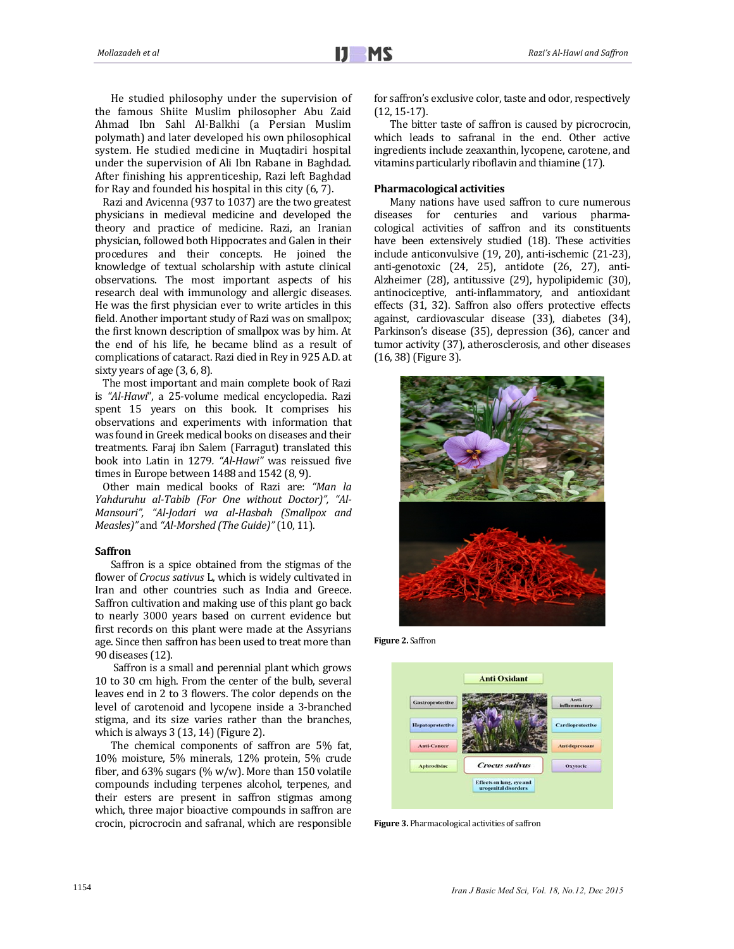He studied philosophy under the supervision of the famous Shiite Muslim philosopher Abu Zaid Ahmad Ibn Sahl Al-Balkhi (a Persian Muslim polymath) and later developed his own philosophical system. He studied medicine in Muqtadiri hospital under the supervision of Ali Ibn Rabane in Baghdad. After finishing his apprenticeship, Razi left Baghdad for Ray and founded his hospital in this city  $(6, 7)$ .

Razi and Avicenna (937 to 1037) are the two greatest physicians in medieval medicine and developed the theory and practice of medicine. Razi, an Iranian physician, followed both Hippocrates and Galen in their procedures and their concepts. He joined the knowledge of textual scholarship with astute clinical observations. The most important aspects of his research deal with immunology and allergic diseases. He was the first physician ever to write articles in this field. Another important study of Razi was on smallpox; the first known description of smallpox was by him. At the end of his life, he became blind as a result of complications of cataract. Razi died in Rey in 925 A.D. at sixty years of age  $(3, 6, 8)$ .

The most important and main complete book of Razi is "Al-Hawi", a 25-volume medical encyclopedia. Razi spent 15 years on this book. It comprises his observations and experiments with information that was found in Greek medical books on diseases and their treatments. Faraj ibn Salem (Farragut) translated this book into Latin in 1279*. "Al‐Hawi"* was reissued five times in Europe between  $1488$  and  $1542$  (8, 9).

Other main medical books of Razi are: "Man la *Yahduruhu al‐Tabib (For One without Doctor)", "Al‐ Mansouri", "Al‐Jodari wa al‐Hasbah (Smallpox and Measles)"* and *"Al‐Morshed (The Guide)"* (10, 11). 

#### **Saffron**

Saffron is a spice obtained from the stigmas of the flower of *Crocus sativus* L, which is widely cultivated in Iran and other countries such as India and Greece. Saffron cultivation and making use of this plant go back to nearly 3000 years based on current evidence but first records on this plant were made at the Assyrians age. Since then saffron has been used to treat more than 90 diseases (12). 

Saffron is a small and perennial plant which grows 10 to 30 cm high. From the center of the bulb, several leaves end in 2 to 3 flowers. The color depends on the level of carotenoid and lycopene inside a 3-branched stigma, and its size varies rather than the branches, which is always  $3(13, 14)$  (Figure 2).

The chemical components of saffron are 5% fat, 10% moisture, 5% minerals, 12% protein, 5% crude fiber, and  $63\%$  sugars (% w/w). More than 150 volatile compounds including terpenes alcohol, terpenes, and their esters are present in saffron stigmas among which, three major bioactive compounds in saffron are crocin, picrocrocin and safranal, which are responsible for saffron's exclusive color, taste and odor, respectively  $(12, 15-17)$ .

The bitter taste of saffron is caused by picrocrocin, which leads to safranal in the end. Other active ingredients include zeaxanthin, lycopene, carotene, and vitamins particularly riboflavin and thiamine (17).

#### **Pharmacological activities**

Many nations have used saffron to cure numerous diseases for centuries and various pharmacological activities of saffron and its constituents have been extensively studied (18). These activities include anticonvulsive (19, 20), anti-ischemic (21-23), anti-genotoxic (24, 25), antidote (26, 27), anti-Alzheimer (28), antitussive (29), hypolipidemic (30), antinociceptive, anti-inflammatory, and antioxidant effects (31, 32). Saffron also offers protective effects against, cardiovascular disease (33), diabetes (34), Parkinson's disease (35), depression (36), cancer and tumor activity (37), atherosclerosis, and other diseases  $(16, 38)$  (Figure 3).



**Figure 2.** Saffron 



Figure 3. Pharmacological activities of saffron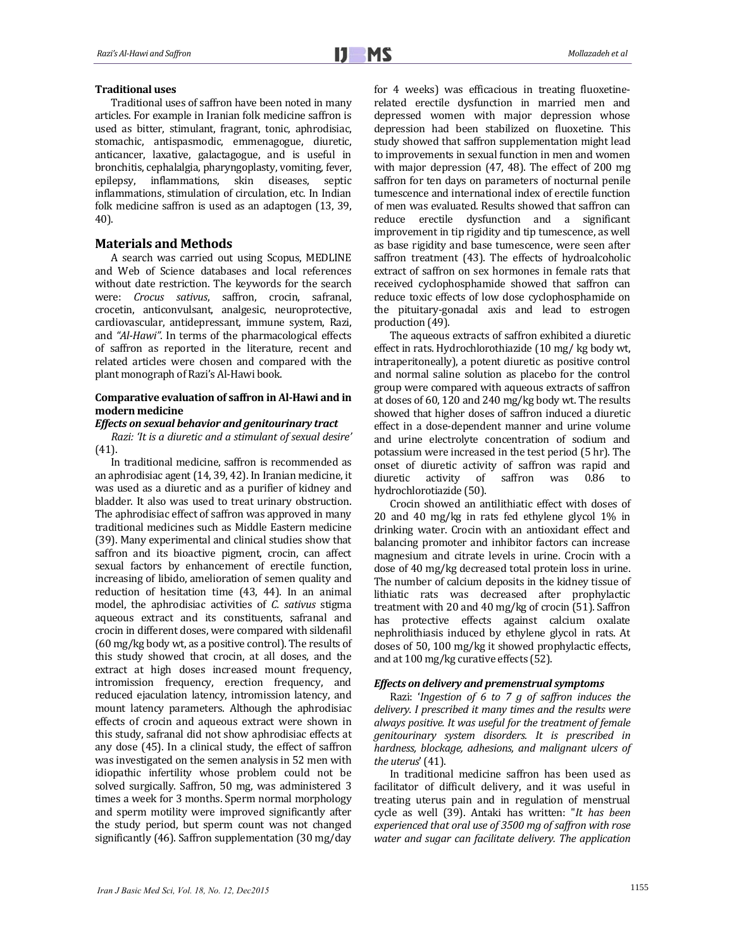#### **Traditional uses**

Traditional uses of saffron have been noted in many articles. For example in Iranian folk medicine saffron is used as bitter, stimulant, fragrant, tonic, aphrodisiac, stomachic, antispasmodic, emmenagogue, diuretic, anticancer, laxative, galactagogue, and is useful in bronchitis, cephalalgia, pharyngoplasty, vomiting, fever, epilepsy, inflammations, skin diseases, septic inflammations, stimulation of circulation, etc. In Indian folk medicine saffron is used as an adaptogen (13, 39, 40). 

<u> 1989 - Andrea Barbara, Amerikaansk politiker (</u>

# **Materials and Methods**

A search was carried out using Scopus, MEDLINE and Web of Science databases and local references without date restriction. The keywords for the search were: *Crocus sativus*, saffron, crocin, safranal, crocetin, anticonvulsant, analgesic, neuroprotective, cardiovascular, antidepressant, immune system, Razi, and "Al-*Hawi*". In terms of the pharmacological effects of saffron as reported in the literature, recent and related articles were chosen and compared with the plant monograph of Razi's Al-Hawi book.

### **Comparative evaluation of saffron in Al‐Hawi and in modern medicine**

#### *Effects on sexual behavior and genitourinary tract*

*Razi: 'It is a diuretic and a stimulant of sexual desire'* (41). 

In traditional medicine, saffron is recommended as an aphrodisiac agent (14, 39, 42). In Iranian medicine, it was used as a diuretic and as a purifier of kidney and bladder. It also was used to treat urinary obstruction. The aphrodisiac effect of saffron was approved in many traditional medicines such as Middle Eastern medicine (39). Many experimental and clinical studies show that saffron and its bioactive pigment, crocin, can affect sexual factors by enhancement of erectile function, increasing of libido, amelioration of semen quality and reduction of hesitation time  $(43, 44)$ . In an animal model, the aphrodisiac activities of *C. sativus* stigma aqueous extract and its constituents, safranal and crocin in different doses, were compared with sildenafil (60 mg/kg body wt, as a positive control). The results of this study showed that crocin, at all doses, and the extract at high doses increased mount frequency, intromission frequency, erection frequency, and reduced ejaculation latency, intromission latency, and mount latency parameters. Although the aphrodisiac effects of crocin and aqueous extract were shown in this study, safranal did not show aphrodisiac effects at any dose (45). In a clinical study, the effect of saffron was investigated on the semen analysis in 52 men with idiopathic infertility whose problem could not be solved surgically. Saffron, 50 mg, was administered 3 times a week for 3 months. Sperm normal morphology and sperm motility were improved significantly after the study period, but sperm count was not changed significantly  $(46)$ . Saffron supplementation  $(30 \text{ mg/day})$ 

for 4 weeks) was efficacious in treating fluoxetinerelated erectile dysfunction in married men and depressed women with major depression whose depression had been stabilized on fluoxetine. This study showed that saffron supplementation might lead to improvements in sexual function in men and women with major depression  $(47, 48)$ . The effect of  $200$  mg saffron for ten days on parameters of nocturnal penile tumescence and international index of erectile function of men was evaluated. Results showed that saffron can reduce erectile dysfunction and a significant improvement in tip rigidity and tip tumescence, as well as base rigidity and base tumescence, were seen after saffron treatment (43). The effects of hydroalcoholic extract of saffron on sex hormones in female rats that received cyclophosphamide showed that saffron can reduce toxic effects of low dose cyclophosphamide on the pituitary-gonadal axis and lead to estrogen production (49).

The aqueous extracts of saffron exhibited a diuretic effect in rats. Hydrochlorothiazide (10 mg/ kg body wt, intraperitoneally), a potent diuretic as positive control and normal saline solution as placebo for the control group were compared with aqueous extracts of saffron at doses of 60, 120 and 240 mg/kg body wt. The results showed that higher doses of saffron induced a diuretic effect in a dose-dependent manner and urine volume and urine electrolyte concentration of sodium and potassium were increased in the test period (5 hr). The onset of diuretic activity of saffron was rapid and diuretic activity of saffron was 0.86 to hydrochlorotiazide (50).

Crocin showed an antilithiatic effect with doses of 20 and 40 mg/kg in rats fed ethylene glycol 1% in drinking water. Crocin with an antioxidant effect and balancing promoter and inhibitor factors can increase magnesium and citrate levels in urine. Crocin with a dose of 40 mg/kg decreased total protein loss in urine. The number of calcium deposits in the kidney tissue of lithiatic rats was decreased after prophylactic treatment with  $20$  and  $40$  mg/kg of crocin  $(51)$ . Saffron has protective effects against calcium oxalate nephrolithiasis induced by ethylene glycol in rats. At doses of 50, 100 mg/kg it showed prophylactic effects, and at 100 mg/kg curative effects (52).

#### *Effects on delivery and premenstrual symptoms*

Razi: '*Ingestion of 6 to 7 g of saffron induces the delivery. I prescribed it many times and the results were always positive. It was useful for the treatment of female genitourinary system disorders. It is prescribed in hardness, blockage, adhesions, and malignant ulcers of the uterus*' (41).

In traditional medicine saffron has been used as facilitator of difficult delivery, and it was useful in treating uterus pain and in regulation of menstrual cycle as well (39). Antaki has written: "*It has been experienced that oral use of 3500 mg of saffron with rose water and sugar can facilitate delivery. The application*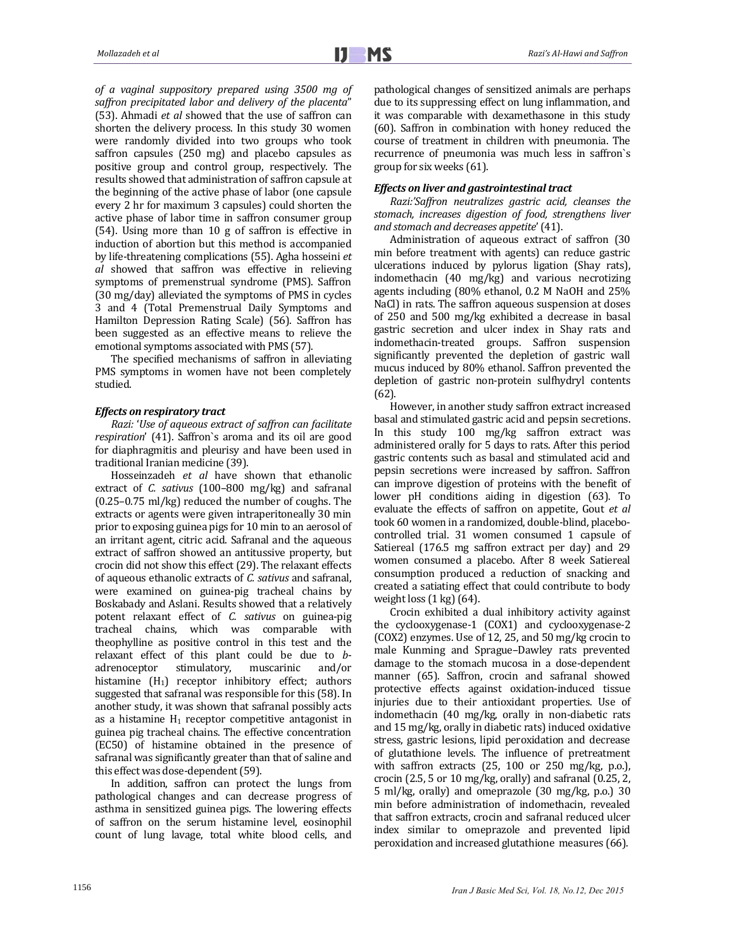*of a vaginal suppository prepared using 3500 mg of saffron precipitated labor and delivery of the placenta*" (53). Ahmadi *et al* showed that the use of saffron can shorten the delivery process. In this study 30 women were randomly divided into two groups who took saffron capsules (250 mg) and placebo capsules as positive group and control group, respectively. The results showed that administration of saffron capsule at the beginning of the active phase of labor (one capsule every 2 hr for maximum 3 capsules) could shorten the active phase of labor time in saffron consumer group  $(54)$ . Using more than 10 g of saffron is effective in induction of abortion but this method is accompanied by life-threatening complications (55). Agha hosseini *et al* showed that saffron was effective in relieving symptoms of premenstrual syndrome (PMS). Saffron (30 mg/day) alleviated the symptoms of PMS in cycles 3 and 4 (Total Premenstrual Daily Symptoms and Hamilton Depression Rating Scale) (56). Saffron has been suggested as an effective means to relieve the emotional symptoms associated with PMS (57).

The specified mechanisms of saffron in alleviating PMS symptoms in women have not been completely studied. 

# *Effects on respiratory tract*

*Razi:* '*Use of aqueous extract of saffron can facilitate respiration'* (41). Saffron's aroma and its oil are good for diaphragmitis and pleurisy and have been used in traditional Iranian medicine (39).

Hosseinzadeh *et al* have shown that ethanolic extract of *C. sativus* (100-800 mg/kg) and safranal  $(0.25-0.75 \text{ ml/kg})$  reduced the number of coughs. The extracts or agents were given intraperitoneally 30 min prior to exposing guinea pigs for 10 min to an aerosol of an irritant agent, citric acid. Safranal and the aqueous extract of saffron showed an antitussive property, but crocin did not show this effect (29). The relaxant effects of aqueous ethanolic extracts of *C. sativus* and safranal, were examined on guinea-pig tracheal chains by Boskabady and Aslani. Results showed that a relatively potent relaxant effect of *C. sativus* on guinea‐pig tracheal chains, which was comparable with theophylline as positive control in this test and the relaxant effect of this plant could be due to *b*adrenoceptor stimulatory, muscarinic and/or histamine  $(H_1)$  receptor inhibitory effect; authors suggested that safranal was responsible for this (58). In another study, it was shown that safranal possibly acts as a histamine  $H_1$  receptor competitive antagonist in guinea pig tracheal chains. The effective concentration (EC50) of histamine obtained in the presence of safranal was significantly greater than that of saline and this effect was dose-dependent (59).

In addition, saffron can protect the lungs from pathological changes and can decrease progress of asthma in sensitized guinea pigs. The lowering effects of saffron on the serum histamine level, eosinophil count of lung lavage, total white blood cells, and pathological changes of sensitized animals are perhaps due to its suppressing effect on lung inflammation, and it was comparable with dexamethasone in this study (60). Saffron in combination with honey reduced the course of treatment in children with pneumonia. The recurrence of pneumonia was much less in saffron's group for six weeks  $(61)$ .

#### *Effects* on liver and gastrointestinal tract

*Razi:'Saffron neutralizes gastric acid, cleanses the stomach, increases digestion of food, strengthens liver and stomach and decreases appetite*' (41). 

Administration of aqueous extract of saffron (30) min before treatment with agents) can reduce gastric ulcerations induced by pylorus ligation (Shay rats), indomethacin (40 mg/kg) and various necrotizing agents including  $(80\%$  ethanol, 0.2 M NaOH and  $25\%$ NaCl) in rats. The saffron aqueous suspension at doses of 250 and 500 mg/kg exhibited a decrease in basal gastric secretion and ulcer index in Shay rats and indomethacin-treated groups. Saffron suspension significantly prevented the depletion of gastric wall mucus induced by 80% ethanol. Saffron prevented the depletion of gastric non-protein sulfhydryl contents (62). 

However, in another study saffron extract increased basal and stimulated gastric acid and pepsin secretions. In this study 100 mg/kg saffron extract was administered orally for 5 days to rats. After this period gastric contents such as basal and stimulated acid and pepsin secretions were increased by saffron. Saffron can improve digestion of proteins with the benefit of lower pH conditions aiding in digestion (63). To evaluate the effects of saffron on appetite, Gout *et al* took 60 women in a randomized, double-blind, placebocontrolled trial. 31 women consumed 1 capsule of Satiereal (176.5 mg saffron extract per day) and 29 women consumed a placebo. After 8 week Satiereal consumption produced a reduction of snacking and created a satiating effect that could contribute to body weight  $loss(1 kg)(64)$ .

Crocin exhibited a dual inhibitory activity against the cyclooxygenase-1 (COX1) and cyclooxygenase-2  $(COX2)$  enzymes. Use of 12, 25, and 50 mg/kg crocin to male Kunming and Sprague–Dawley rats prevented damage to the stomach mucosa in a dose-dependent manner (65). Saffron, crocin and safranal showed protective effects against oxidation-induced tissue injuries due to their antioxidant properties. Use of indomethacin (40 mg/kg, orally in non-diabetic rats and 15 mg/kg, orally in diabetic rats) induced oxidative stress, gastric lesions, lipid peroxidation and decrease of glutathione levels. The influence of pretreatment with saffron extracts  $(25, 100 \text{ or } 250 \text{ mg/kg}, p.o.),$ crocin  $(2.5, 5 \text{ or } 10 \text{ mg/kg}, \text{orally})$  and safranal  $(0.25, 2, 1)$  $5$  ml/kg, orally) and omeprazole  $(30 \text{ mg/kg}, \text{ p.o.})$  30 min before administration of indomethacin, revealed that saffron extracts, crocin and safranal reduced ulcer index similar to omeprazole and prevented lipid peroxidation and increased glutathione measures (66).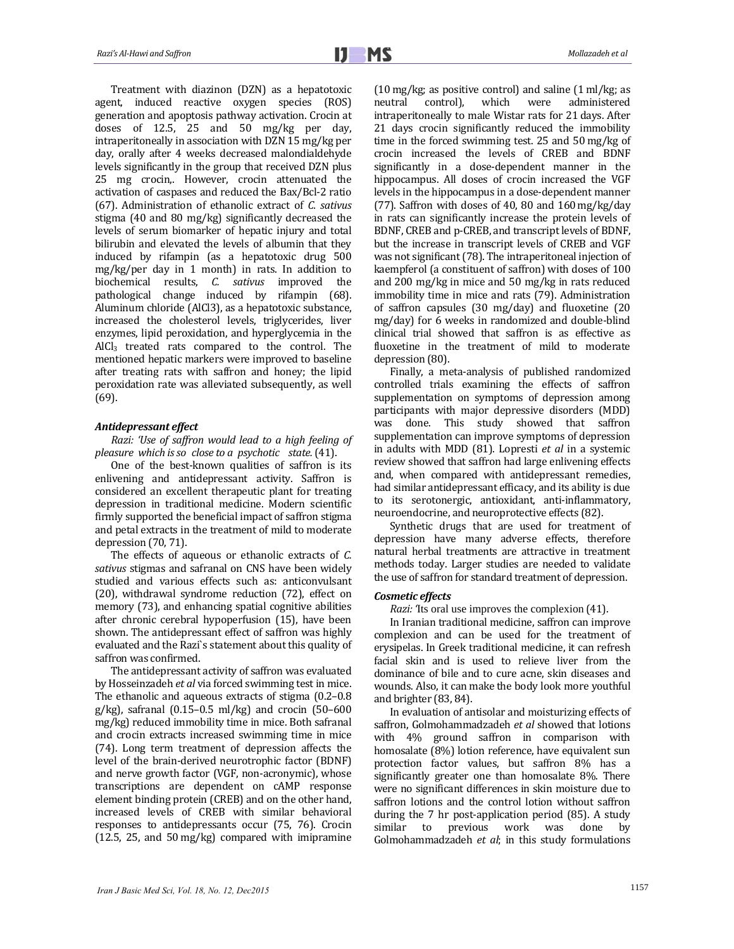Treatment with diazinon (DZN) as a hepatotoxic agent, induced reactive oxygen species (ROS) generation and apoptosis pathway activation. Crocin at doses of 12.5, 25 and 50 mg/kg per day, intraperitoneally in association with  $DZN$  15 mg/kg per day, orally after 4 weeks decreased malondialdehyde levels significantly in the group that received DZN plus 25 mg crocin, However, crocin attenuated the activation of caspases and reduced the Bax/Bcl-2 ratio (67). Administration of ethanolic extract of *C. sativus* stigma  $(40 \text{ and } 80 \text{ mg/kg})$  significantly decreased the levels of serum biomarker of hepatic injury and total bilirubin and elevated the levels of albumin that they induced by rifampin (as a hepatotoxic drug 500  $mg/kg/per$  day in 1 month) in rats. In addition to biochemical results, *C. sativus* improved the pathological change induced by rifampin (68). Aluminum chloride (AlCl3), as a hepatotoxic substance, increased the cholesterol levels, triglycerides, liver enzymes, lipid peroxidation, and hyperglycemia in the AlCl<sub>3</sub> treated rats compared to the control. The mentioned hepatic markers were improved to baseline after treating rats with saffron and honey; the lipid peroxidation rate was alleviated subsequently, as well (69). 

# *Antidepressant effect*

*Razi: 'Use of saffron would lead to a high feeling of pleasure which isso close to a psychotic state.*(41).

One of the best-known qualities of saffron is its enlivening and antidepressant activity. Saffron is considered an excellent therapeutic plant for treating depression in traditional medicine. Modern scientific firmly supported the beneficial impact of saffron stigma and petal extracts in the treatment of mild to moderate depression  $(70, 71)$ .

The effects of aqueous or ethanolic extracts of *C*. sativus stigmas and safranal on CNS have been widely studied and various effects such as: anticonvulsant (20), withdrawal syndrome reduction (72), effect on memory (73), and enhancing spatial cognitive abilities after chronic cerebral hypoperfusion (15), have been shown. The antidepressant effect of saffron was highly evaluated and the Razi's statement about this quality of saffron was confirmed.

The antidepressant activity of saffron was evaluated by Hosseinzadeh *et al* via forced swimming test in mice. The ethanolic and aqueous extracts of stigma  $(0.2-0.8)$  $g/kg$ , safranal  $(0.15-0.5 \text{ ml/kg})$  and crocin  $(50-600 \text{ m})$ mg/kg) reduced immobility time in mice. Both safranal and crocin extracts increased swimming time in mice (74). Long term treatment of depression affects the level of the brain-derived neurotrophic factor (BDNF) and nerve growth factor (VGF, non-acronymic), whose transcriptions are dependent on cAMP response element binding protein (CREB) and on the other hand, increased levels of CREB with similar behavioral responses to antidepressants occur (75, 76). Crocin  $(12.5, 25,$  and  $50 \text{ mg/kg})$  compared with imipramine  $(10 \text{ mg/kg}$ ; as positive control) and saline  $(1 \text{ ml/kg}$ ; as neutral control), which were administered intraperitoneally to male Wistar rats for 21 days. After 21 days crocin significantly reduced the immobility time in the forced swimming test.  $25$  and  $50$  mg/kg of crocin increased the levels of CREB and BDNF significantly in a dose-dependent manner in the hippocampus. All doses of crocin increased the VGF levels in the hippocampus in a dose-dependent manner (77). Saffron with doses of 40, 80 and  $160$  mg/kg/day in rats can significantly increase the protein levels of BDNF, CREB and p-CREB, and transcript levels of BDNF, but the increase in transcript levels of CREB and VGF was not significant (78). The intraperitoneal injection of kaempferol (a constituent of saffron) with doses of 100 and 200 mg/kg in mice and 50 mg/kg in rats reduced immobility time in mice and rats (79). Administration of saffron capsules  $(30 \text{ mg/day})$  and fluoxetine  $(20 \text{ g})$ mg/day) for 6 weeks in randomized and double-blind clinical trial showed that saffron is as effective as fluoxetine in the treatment of mild to moderate depression (80).

Finally, a meta-analysis of published randomized controlled trials examining the effects of saffron supplementation on symptoms of depression among participants with major depressive disorders (MDD) was done. This study showed that saffron supplementation can improve symptoms of depression in adults with MDD (81). Lopresti *et al* in a systemic review showed that saffron had large enlivening effects and, when compared with antidepressant remedies, had similar antidepressant efficacy, and its ability is due to its serotonergic, antioxidant, anti-inflammatory, neuroendocrine, and neuroprotective effects (82).

Synthetic drugs that are used for treatment of depression have many adverse effects, therefore natural herbal treatments are attractive in treatment methods today. Larger studies are needed to validate the use of saffron for standard treatment of depression.

#### *Cosmetic effects*

*Razi: '*Its oral use improves the complexion (41). 

In Iranian traditional medicine, saffron can improve complexion and can be used for the treatment of erysipelas. In Greek traditional medicine, it can refresh facial skin and is used to relieve liver from the dominance of bile and to cure acne, skin diseases and wounds. Also, it can make the body look more youthful and brighter (83, 84).

In evaluation of antisolar and moisturizing effects of saffron, Golmohammadzadeh et al showed that lotions with 4% ground saffron in comparison with homosalate (8%) lotion reference, have equivalent sun protection factor values, but saffron 8% has a significantly greater one than homosalate 8%. There were no significant differences in skin moisture due to saffron lotions and the control lotion without saffron during the  $7$  hr post-application period  $(85)$ . A study similar to previous work was done by Golmohammadzadeh *et al*; in this study formulations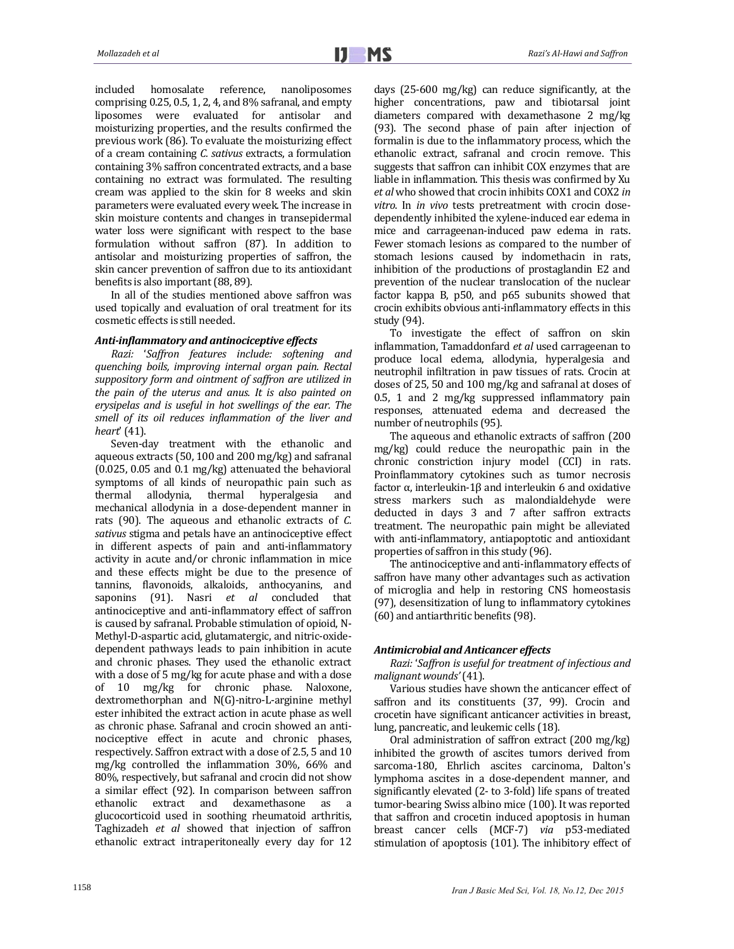included homosalate reference, nanoliposomes comprising  $0.25$ ,  $0.5$ ,  $1$ ,  $2$ ,  $4$ , and  $8\%$  safranal, and empty liposomes were evaluated for antisolar and moisturizing properties, and the results confirmed the previous work (86). To evaluate the moisturizing effect of a cream containing *C. sativus* extracts, a formulation containing 3% saffron concentrated extracts, and a base containing no extract was formulated. The resulting cream was applied to the skin for 8 weeks and skin parameters were evaluated every week. The increase in skin moisture contents and changes in transepidermal water loss were significant with respect to the base formulation without saffron (87). In addition to antisolar and moisturizing properties of saffron, the skin cancer prevention of saffron due to its antioxidant benefits is also important (88, 89).

In all of the studies mentioned above saffron was used topically and evaluation of oral treatment for its cosmetic effects is still needed.

# *Anti‐inflammatory and antinociceptive effects*

*Razi:* '*Saffron features include: softening and quenching boils, improving internal organ pain. Rectal suppository form and ointment of saffron are utilized in the pain of the uterus and anus. It is also painted on erysipelas and is useful in hot swellings of the ear. The smell of its oil reduces inflammation of the liver and heart*' (41).

Seven-day treatment with the ethanolic and aqueous extracts  $(50, 100 \text{ and } 200 \text{ mg/kg})$  and safranal  $(0.025, 0.05$  and  $0.1$  mg/kg) attenuated the behavioral symptoms of all kinds of neuropathic pain such as thermal allodynia, thermal hyperalgesia and mechanical allodynia in a dose-dependent manner in rats (90). The aqueous and ethanolic extracts of *C.* sativus stigma and petals have an antinociceptive effect in different aspects of pain and anti-inflammatory activity in acute and/or chronic inflammation in mice and these effects might be due to the presence of tannins, flavonoids, alkaloids, anthocyanins, and saponins (91). Nasri *et al* concluded that antinociceptive and anti-inflammatory effect of saffron is caused by safranal. Probable stimulation of opioid. N-Methyl-D-aspartic acid, glutamatergic, and nitric-oxidedependent pathways leads to pain inhibition in acute and chronic phases. They used the ethanolic extract with a dose of  $5 \text{ mg/kg}$  for acute phase and with a dose of 10 mg/kg for chronic phase. Naloxone, dextromethorphan and N(G)-nitro-L-arginine methyl ester inhibited the extract action in acute phase as well as chronic phase. Safranal and crocin showed an antinociceptive effect in acute and chronic phases, respectively. Saffron extract with a dose of 2.5, 5 and 10 mg/kg controlled the inflammation 30%, 66% and 80%, respectively, but safranal and crocin did not show a similar effect (92). In comparison between saffron ethanolic extract and dexamethasone as a glucocorticoid used in soothing rheumatoid arthritis, Taghizadeh *et al* showed that injection of saffron ethanolic extract intraperitoneally every day for 12 days (25-600 mg/kg) can reduce significantly, at the higher concentrations, paw and tibiotarsal joint diameters compared with dexamethasone 2 mg/kg (93). The second phase of pain after injection of formalin is due to the inflammatory process, which the ethanolic extract, safranal and crocin remove. This suggests that saffron can inhibit COX enzymes that are liable in inflammation. This thesis was confirmed by Xu *et al* who showed that crocin inhibits COX1 and COX2 *in vitro*. In *in vivo* tests pretreatment with crocin dosedependently inhibited the xylene-induced ear edema in mice and carrageenan-induced paw edema in rats. Fewer stomach lesions as compared to the number of stomach lesions caused by indomethacin in rats, inhibition of the productions of prostaglandin E2 and prevention of the nuclear translocation of the nuclear factor kappa B, p50, and p65 subunits showed that crocin exhibits obvious anti-inflammatory effects in this study (94).

To investigate the effect of saffron on skin inflammation, Tamaddonfard *et al* used carrageenan to produce local edema, allodynia, hyperalgesia and neutrophil infiltration in paw tissues of rats. Crocin at doses of 25, 50 and 100 mg/kg and safranal at doses of 0.5, 1 and 2 mg/kg suppressed inflammatory pain responses, attenuated edema and decreased the number of neutrophils (95).

The aqueous and ethanolic extracts of saffron (200) mg/kg) could reduce the neuropathic pain in the chronic constriction injury model (CCI) in rats. Proinflammatory cytokines such as tumor necrosis factor  $\alpha$ , interleukin-1β and interleukin 6 and oxidative stress markers such as malondialdehyde were deducted in days 3 and 7 after saffron extracts treatment. The neuropathic pain might be alleviated with anti-inflammatory, antiapoptotic and antioxidant properties of saffron in this study (96).

The antinociceptive and anti-inflammatory effects of saffron have many other advantages such as activation of microglia and help in restoring CNS homeostasis (97), desensitization of lung to inflammatory cytokines (60) and antiarthritic benefits (98).

# *Antimicrobial and Anticancer effects*

*Razi:* '*Saffron is useful for treatment of infectious and malignant wounds'*(41).

Various studies have shown the anticancer effect of saffron and its constituents (37, 99). Crocin and crocetin have significant anticancer activities in breast, lung, pancreatic, and leukemic cells (18).

Oral administration of saffron extract  $(200 \text{ mg/kg})$ inhibited the growth of ascites tumors derived from sarcoma-180, Ehrlich ascites carcinoma, Dalton's lymphoma ascites in a dose-dependent manner, and significantly elevated (2- to 3-fold) life spans of treated tumor-bearing Swiss albino mice (100). It was reported that saffron and crocetin induced apoptosis in human breast cancer cells (MCF-7) *via* p53-mediated stimulation of apoptosis (101). The inhibitory effect of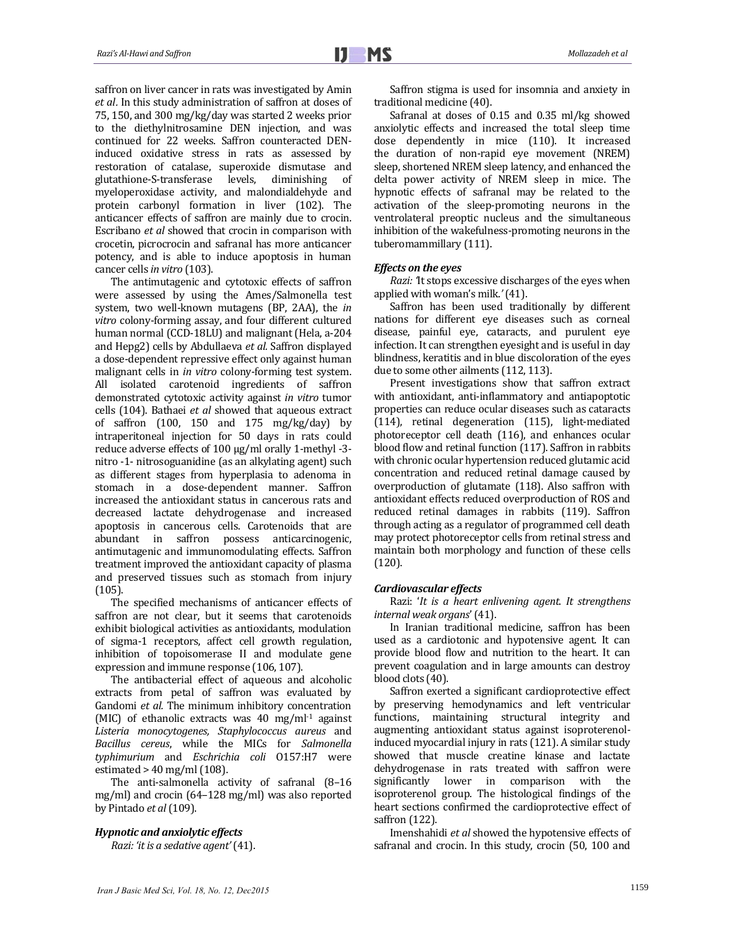saffron on liver cancer in rats was investigated by Amin *et al.* In this study administration of saffron at doses of 75, 150, and 300 mg/kg/day was started 2 weeks prior to the diethylnitrosamine DEN injection, and was continued for 22 weeks. Saffron counteracted DENinduced oxidative stress in rats as assessed by restoration of catalase, superoxide dismutase and glutathione-S-transferase levels, diminishing of myeloperoxidase activity, and malondialdehyde and protein carbonyl formation in liver (102). The anticancer effects of saffron are mainly due to crocin. Escribano *et al* showed that crocin in comparison with crocetin, picrocrocin and safranal has more anticancer potency, and is able to induce apoptosis in human cancer cells *in* vitro (103).

The antimutagenic and cytotoxic effects of saffron were assessed by using the Ames/Salmonella test system, two well-known mutagens (BP, 2AA), the *in vitro* colony-forming assay, and four different cultured human normal (CCD-18LU) and malignant (Hela, a-204 and Hepg2) cells by Abdullaeva *et al.* Saffron displayed a dose-dependent repressive effect only against human malignant cells in *in vitro* colony-forming test system. All isolated carotenoid ingredients of saffron demonstrated cytotoxic activity against *in vitro* tumor cells (104). Bathaei *et al* showed that aqueous extract of saffron  $(100, 150$  and  $175$  mg/kg/day) by intraperitoneal injection for 50 days in rats could reduce adverse effects of  $100 \mu g/ml$  orally 1-methyl -3nitro -1- nitrosoguanidine (as an alkylating agent) such as different stages from hyperplasia to adenoma in stomach in a dose-dependent manner. Saffron increased the antioxidant status in cancerous rats and decreased lactate dehydrogenase and increased apoptosis in cancerous cells. Carotenoids that are abundant in saffron possess anticarcinogenic, antimutagenic and immunomodulating effects. Saffron treatment improved the antioxidant capacity of plasma and preserved tissues such as stomach from injury (105). 

The specified mechanisms of anticancer effects of saffron are not clear, but it seems that carotenoids exhibit biological activities as antioxidants, modulation of sigma-1 receptors, affect cell growth regulation, inhibition of topoisomerase II and modulate gene expression and immune response (106, 107).

The antibacterial effect of aqueous and alcoholic extracts from petal of saffron was evaluated by Gandomi et al. The minimum inhibitory concentration (MIC) of ethanolic extracts was  $40 \text{ mg/ml}$ <sup>1</sup> against *Listeria monocytogenes, Staphylococcus aureus* and *Bacillus cereus*, while the MICs for *Salmonella typhimurium* and *Eschrichia coli* O157:H7 were estimated  $> 40$  mg/ml (108).

The anti-salmonella activity of safranal (8-16 mg/ml) and crocin (64-128 mg/ml) was also reported by Pintado *et al* (109). 

#### *Hypnotic and anxiolytic effects*

*Razi: 'it is a sedative agent'*(41). 

Saffron stigma is used for insomnia and anxiety in traditional medicine (40).

Safranal at doses of  $0.15$  and  $0.35$  ml/kg showed anxiolytic effects and increased the total sleep time dose dependently in mice (110). It increased the duration of non-rapid eye movement (NREM) sleep, shortened NREM sleep latency, and enhanced the delta power activity of NREM sleep in mice. The hypnotic effects of safranal may be related to the activation of the sleep-promoting neurons in the ventrolateral preoptic nucleus and the simultaneous inhibition of the wakefulness-promoting neurons in the tuberomammillary (111).

#### *Effects on the eyes*

*Razi:* It stops excessive discharges of the eyes when applied with woman's milk.*'*(41). 

Saffron has been used traditionally by different nations for different eye diseases such as corneal disease, painful eve, cataracts, and purulent eve infection. It can strengthen evesight and is useful in day blindness, keratitis and in blue discoloration of the eyes due to some other ailments (112, 113).

Present investigations show that saffron extract with antioxidant, anti-inflammatory and antiapoptotic properties can reduce ocular diseases such as cataracts (114), retinal degeneration (115), light‐mediated photoreceptor cell death (116), and enhances ocular blood flow and retinal function (117). Saffron in rabbits with chronic ocular hypertension reduced glutamic acid concentration and reduced retinal damage caused by overproduction of glutamate (118). Also saffron with antioxidant effects reduced overproduction of ROS and reduced retinal damages in rabbits (119). Saffron through acting as a regulator of programmed cell death may protect photoreceptor cells from retinal stress and maintain both morphology and function of these cells (120). 

# *Cardiovascular effects*

Razi: '*It is a heart enlivening agent. It strengthens internal weak organs*' (41). 

In Iranian traditional medicine, saffron has been used as a cardiotonic and hypotensive agent. It can provide blood flow and nutrition to the heart. It can prevent coagulation and in large amounts can destroy blood clots (40).

Saffron exerted a significant cardioprotective effect by preserving hemodynamics and left ventricular functions, maintaining structural integrity and augmenting antioxidant status against isoproterenolinduced myocardial injury in rats (121). A similar study showed that muscle creatine kinase and lactate dehydrogenase in rats treated with saffron were significantly lower in comparison with the isoproterenol group. The histological findings of the heart sections confirmed the cardioprotective effect of saffron (122).

Imenshahidi et al showed the hypotensive effects of safranal and crocin. In this study, crocin (50, 100 and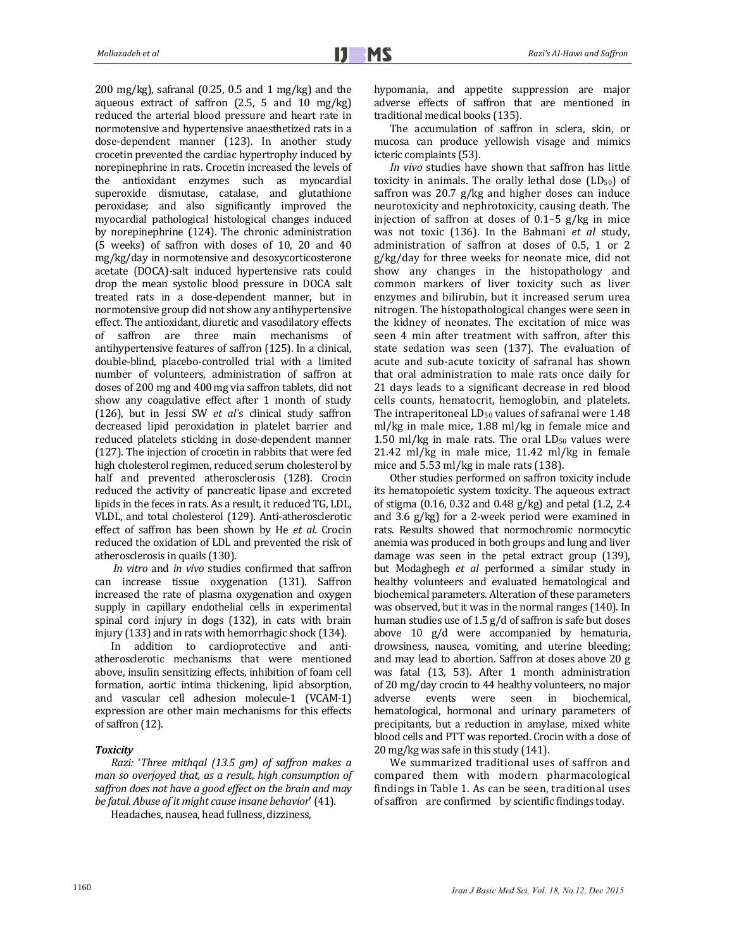$200 \text{ mg/kg}$ , safranal  $(0.25, 0.5 \text{ and } 1 \text{ mg/kg})$  and the aqueous extract of saffron  $(2.5, 5 \text{ and } 10 \text{ mg/kg})$ reduced the arterial blood pressure and heart rate in normotensive and hypertensive anaesthetized rats in a dose-dependent manner (123). In another study crocetin prevented the cardiac hypertrophy induced by norepinephrine in rats. Crocetin increased the levels of the antioxidant enzymes such as myocardial superoxide dismutase, catalase, and glutathione peroxidase; and also significantly improved the myocardial pathological histological changes induced by norepinephrine (124). The chronic administration (5 weeks) of saffron with doses of 10, 20 and 40 mg/kg/day in normotensive and desoxycorticosterone acetate (DOCA)-salt induced hypertensive rats could drop the mean systolic blood pressure in DOCA salt treated rats in a dose-dependent manner, but in normotensive group did not show any antihypertensive effect. The antioxidant, diuretic and vasodilatory effects of saffron are three main mechanisms of antihypertensive features of saffron (125). In a clinical, double-blind, placebo-controlled trial with a limited number of volunteers, administration of saffron at doses of 200 mg and 400 mg via saffron tablets, did not show any coagulative effect after 1 month of study (126), but in Jessi SW *et al*'s clinical study saffron decreased lipid peroxidation in platelet barrier and reduced platelets sticking in dose-dependent manner (127). The injection of crocetin in rabbits that were fed high cholesterol regimen, reduced serum cholesterol by half and prevented atherosclerosis (128). Crocin reduced the activity of pancreatic lipase and excreted lipids in the feces in rats. As a result, it reduced TG, LDL, VLDL, and total cholesterol (129). Anti-atherosclerotic effect of saffron has been shown by He *et al.* Crocin reduced the oxidation of LDL and prevented the risk of atherosclerosis in quails (130).

*In vitro* and *in vivo* studies confirmed that saffron can increase tissue oxygenation (131). Saffron increased the rate of plasma oxygenation and oxygen supply in capillary endothelial cells in experimental spinal cord injury in dogs (132), in cats with brain injury  $(133)$  and in rats with hemorrhagic shock  $(134)$ .

In addition to cardioprotective and antiatherosclerotic mechanisms that were mentioned above, insulin sensitizing effects, inhibition of foam cell formation, aortic intima thickening, lipid absorption, and vascular cell adhesion molecule-1 (VCAM-1) expression are other main mechanisms for this effects of saffron (12).

#### *Toxicity*

*Razi:* '*Three mithqal (13.5 gm) of saffron makes a man so overjoyed that, as a result, high consumption of saffron does not have a good effect on the brain and may be fatal. Abuse of it might cause insane behavior*' (41).

Headaches, nausea, head fullness, dizziness,

hypomania, and appetite suppression are major adverse effects of saffron that are mentioned in traditional medical books (135).

The accumulation of saffron in sclera, skin, or mucosa can produce yellowish visage and mimics icteric complaints (53).

*In vivo* studies have shown that saffron has little toxicity in animals. The orally lethal dose  $(LD_{50})$  of saffron was  $20.7$  g/kg and higher doses can induce neurotoxicity and nephrotoxicity, causing death. The injection of saffron at doses of  $0.1-5$  g/kg in mice was not toxic (136). In the Bahmani *et al* study, administration of saffron at doses of 0.5, 1 or 2  $g/kg/day$  for three weeks for neonate mice, did not show any changes in the histopathology and common markers of liver toxicity such as liver enzymes and bilirubin, but it increased serum urea nitrogen. The histopathological changes were seen in the kidney of neonates. The excitation of mice was seen 4 min after treatment with saffron, after this state sedation was seen  $(137)$ . The evaluation of acute and sub-acute toxicity of safranal has shown that oral administration to male rats once daily for 21 days leads to a significant decrease in red blood cells counts, hematocrit, hemoglobin, and platelets. The intraperitoneal  $LD_{50}$  values of safranal were 1.48  $ml/kg$  in male mice,  $1.88$  ml/kg in female mice and 1.50 ml/kg in male rats. The oral  $LD_{50}$  values were  $21.42$  ml/kg in male mice,  $11.42$  ml/kg in female mice and  $5.53$  ml/kg in male rats  $(138)$ .

Other studies performed on saffron toxicity include its hematopoietic system toxicity. The aqueous extract of stigma  $(0.16, 0.32 \text{ and } 0.48 \text{ g/kg})$  and petal  $(1.2, 2.4 \text{ g/kg})$ and  $3.6$  g/kg) for a 2-week period were examined in rats. Results showed that normochromic normocytic anemia was produced in both groups and lung and liver damage was seen in the petal extract group (139), but Modaghegh *et al* performed a similar study in healthy volunteers and evaluated hematological and biochemical parameters. Alteration of these parameters was observed, but it was in the normal ranges (140). In human studies use of  $1.5$  g/d of saffron is safe but doses above 10 g/d were accompanied by hematuria, drowsiness, nausea, vomiting, and uterine bleeding; and may lead to abortion. Saffron at doses above 20 g was fatal (13, 53). After 1 month administration of 20 mg/day crocin to 44 healthy volunteers, no major adverse events were seen in biochemical, hematological, hormonal and urinary parameters of precipitants, but a reduction in amylase, mixed white blood cells and PTT was reported. Crocin with a dose of  $20 \,\text{mg/kg}$  was safe in this study  $(141)$ .

We summarized traditional uses of saffron and compared them with modern pharmacological findings in Table 1. As can be seen, traditional uses of saffron are confirmed by scientific findings today.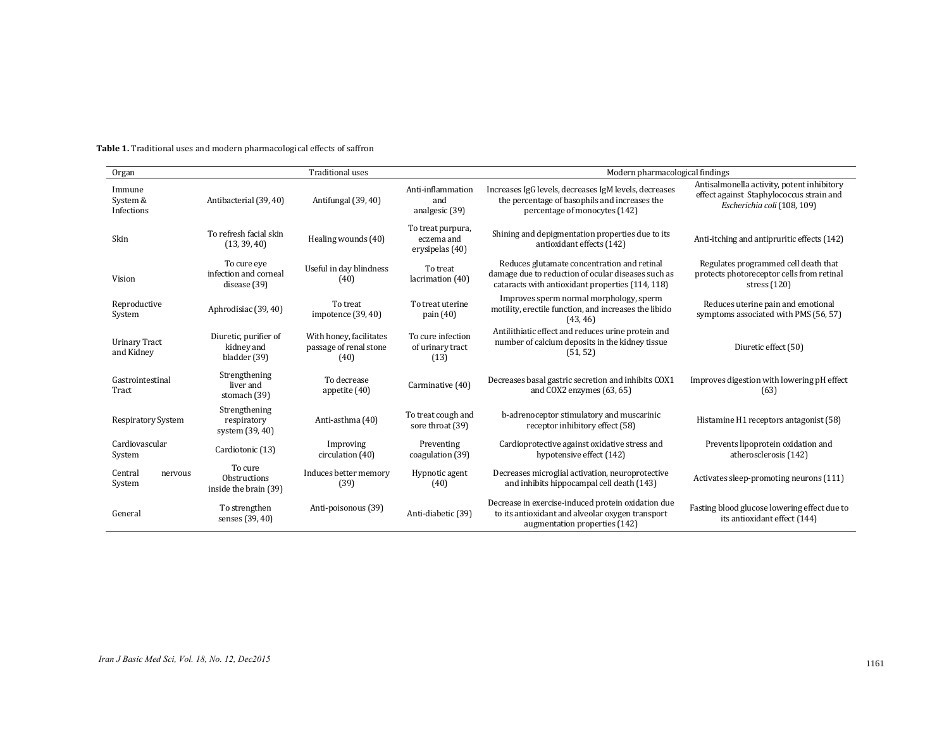| <b>Table 1.</b> Traditional uses and modern pharmacological effects of saffron |  |
|--------------------------------------------------------------------------------|--|
|--------------------------------------------------------------------------------|--|

| <b>Traditional uses</b><br>Organ   |                                                         |                                                           |                                                    | Modern pharmacological findings                                                                                                                       |                                                                                                                       |  |
|------------------------------------|---------------------------------------------------------|-----------------------------------------------------------|----------------------------------------------------|-------------------------------------------------------------------------------------------------------------------------------------------------------|-----------------------------------------------------------------------------------------------------------------------|--|
| Immune<br>System &<br>Infections   | Antibacterial (39, 40)                                  | Antifungal (39, 40)                                       | Anti-inflammation<br>and<br>analgesic (39)         | Increases IgG levels, decreases IgM levels, decreases<br>the percentage of basophils and increases the<br>percentage of monocytes (142)               | Antisalmonella activity, potent inhibitory<br>effect against Staphylococcus strain and<br>Escherichia coli (108, 109) |  |
| Skin                               | To refresh facial skin<br>(13, 39, 40)                  | Healing wounds (40)                                       | To treat purpura,<br>eczema and<br>erysipelas (40) | Shining and depigmentation properties due to its<br>antioxidant effects (142)                                                                         | Anti-itching and antipruritic effects (142)                                                                           |  |
| Vision                             | To cure eye<br>infection and corneal<br>disease (39)    | Useful in day blindness<br>(40)                           | To treat<br>lacrimation (40)                       | Reduces glutamate concentration and retinal<br>damage due to reduction of ocular diseases such as<br>cataracts with antioxidant properties (114, 118) | Regulates programmed cell death that<br>protects photoreceptor cells from retinal<br>stress $(120)$                   |  |
| Reproductive<br>System             | Aphrodisiac (39, 40)                                    | To treat<br>impotence $(39, 40)$                          | To treat uterine<br>pain $(40)$                    | Improves sperm normal morphology, sperm<br>motility, erectile function, and increases the libido<br>(43, 46)                                          | Reduces uterine pain and emotional<br>symptoms associated with PMS (56, 57)                                           |  |
| <b>Urinary Tract</b><br>and Kidney | Diuretic, purifier of<br>kidney and<br>bladder (39)     | With honey, facilitates<br>passage of renal stone<br>(40) | To cure infection<br>of urinary tract<br>(13)      | Antilithiatic effect and reduces urine protein and<br>number of calcium deposits in the kidney tissue<br>(51, 52)                                     | Diuretic effect (50)                                                                                                  |  |
| Gastrointestinal<br>Tract          | Strengthening<br>liver and<br>stomach (39)              | To decrease<br>appetite (40)                              | Carminative (40)                                   | Decreases basal gastric secretion and inhibits COX1<br>and COX2 enzymes $(63, 65)$                                                                    | Improves digestion with lowering pH effect<br>(63)                                                                    |  |
| <b>Respiratory System</b>          | Strengthening<br>respiratory<br>system (39, 40)         | Anti-asthma (40)                                          | To treat cough and<br>sore throat (39)             | b-adrenoceptor stimulatory and muscarinic<br>receptor inhibitory effect (58)                                                                          | Histamine H1 receptors antagonist (58)                                                                                |  |
| Cardiovascular<br>System           | Cardiotonic (13)                                        | Improving<br>circulation (40)                             | Preventing<br>coagulation (39)                     | Cardioprotective against oxidative stress and<br>hypotensive effect (142)                                                                             | Prevents lipoprotein oxidation and<br>atherosclerosis (142)                                                           |  |
| Central<br>nervous<br>System       | To cure<br><b>Obstructions</b><br>inside the brain (39) | Induces better memory<br>(39)                             | Hypnotic agent<br>(40)                             | Decreases microglial activation, neuroprotective<br>and inhibits hippocampal cell death (143)                                                         | Activates sleep-promoting neurons (111)                                                                               |  |
| General                            | To strengthen<br>senses (39, 40)                        | Anti-poisonous (39)                                       | Anti-diabetic (39)                                 | Decrease in exercise-induced protein oxidation due<br>to its antioxidant and alveolar oxygen transport<br>augmentation properties (142)               | Fasting blood glucose lowering effect due to<br>its antioxidant effect (144)                                          |  |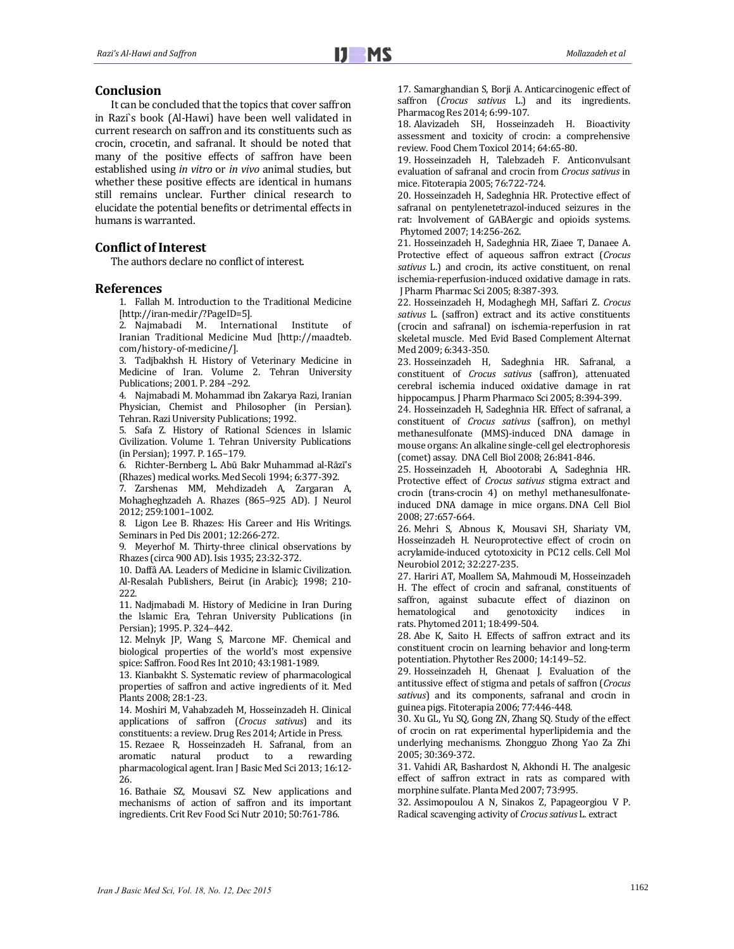# **Conclusion**

It can be concluded that the topics that cover saffron in Razi`s book (Al-Hawi) have been well validated in current research on saffron and its constituents such as crocin, crocetin, and safranal. It should be noted that many of the positive effects of saffron have been established using *in vitro* or *in vivo* animal studies, but whether these positive effects are identical in humans still remains unclear. Further clinical research to elucidate the potential benefits or detrimental effects in humans is warranted.

# **Conflict of Interest**

The authors declare no conflict of interest.

# **References**

1. Fallah M. Introduction to the Traditional Medicine [http://iran‐med.ir/?PageID=5]. 

2. Najmabadi M. International Institute of Iranian Traditional Medicine Mud [http://maadteb. com/history‐of‐medicine/]. 

3. Tadjbakhsh H. History of Veterinary Medicine in Medicine of Iran. Volume 2. Tehran University Publications; 2001. P. 284-292.

4. Najmabadi M. Mohammad ibn Zakarya Razi, Iranian Physician, Chemist and Philosopher (in Persian). Tehran. Razi University Publications; 1992.

5. Safa Z. History of Rational Sciences in lslamic Civilization. Volume 1. Tehran University Publications (in Persian); 1997. P. 165-179.

6. Richter‐Bernberg L. Abū Bakr Muhammad al‐Rāzī's (Rhazes) medical works. Med Secoli 1994; 6:377-392.

7. Zarshenas MM, Mehdizadeh A, Zargaran A, Mohagheghzadeh A. Rhazes (865–925 AD). J Neurol 2012; 259:1001–1002. 

8. Ligon Lee B. Rhazes: His Career and His Writings. Seminars in Ped Dis 2001; 12:266-272.

9. Meyerhof M. Thirty-three clinical observations by Rhazes (circa 900 AD). Isis 1935; 23:32-372.

10. Daffâ AA. Leaders of Medicine in Islamic Civilization. Al-Resalah Publishers, Beirut (in Arabic); 1998; 210-222. 

11. Nadjmabadi M. History of Medicine in Iran During the Islamic Era, Tehran University Publications (in Persian); 1995. P. 324-442.

12. Melnyk JP, Wang S, Marcone MF. Chemical and biological properties of the world's most expensive spice: Saffron. Food Res Int 2010; 43:1981-1989.

13. Kianbakht S. Systematic review of pharmacological properties of saffron and active ingredients of it. Med Plants 2008; 28:1-23.

14. Moshiri M, Vahabzadeh M, Hosseinzadeh H. Clinical applications of saffron (*Crocus sativus*) and its constituents: a review. Drug Res 2014; Article in Press.

15. Rezaee R, Hosseinzadeh H. Safranal, from an aromatic natural product to a rewarding pharmacological agent. Iran J Basic Med Sci 2013; 16:12-26. 

16. Bathaie SZ, Mousavi SZ. New applications and mechanisms of action of saffron and its important ingredients. Crit Rev Food Sci Nutr 2010; 50:761-786.

17. Samarghandian S, Borji A. Anticarcinogenic effect of saffron (*Crocus sativus* L.) and its ingredients. Pharmacog Res 2014; 6:99-107.

18. Alavizadeh SH. Hosseinzadeh H. Bioactivity assessment and toxicity of crocin: a comprehensive review. Food Chem Toxicol 2014; 64:65-80.

19. Hosseinzadeh H, Talebzadeh F. Anticonvulsant evaluation of safranal and crocin from *Crocus* sativus in mice. Fitoterapia 2005; 76:722-724.

20. Hosseinzadeh H, Sadeghnia HR. Protective effect of safranal on pentylenetetrazol-induced seizures in the rat: Involvement of GABAergic and opioids systems. Phytomed 2007; 14:256-262.

21. Hosseinzadeh H, Sadeghnia HR, Ziaee T, Danaee A. Protective effect of aqueous saffron extract (*Crocus* sativus L.) and crocin, its active constituent, on renal ischemia-reperfusion-induced oxidative damage in rats. J Pharm Pharmac Sci 2005; 8:387-393.

22. Hosseinzadeh H, Modaghegh MH, Saffari Z. *Crocus* sativus L. (saffron) extract and its active constituents (crocin and safranal) on ischemia‐reperfusion in rat skeletal muscle. Med Evid Based Complement Alternat Med 2009; 6:343-350.

23. Hosseinzadeh H, Sadeghnia HR. Safranal, a constituent of *Crocus sativus* (saffron), attenuated cerebral ischemia induced oxidative damage in rat hippocampus. J Pharm Pharmaco Sci 2005; 8:394-399.

24. Hosseinzadeh H, Sadeghnia HR. Effect of safranal, a constituent of *Crocus* sativus (saffron), on methyl methanesulfonate (MMS)-induced DNA damage in mouse organs: An alkaline single-cell gel electrophoresis (comet) assay. DNA Cell Biol 2008; 26:841-846.

25. Hosseinzadeh H, Abootorabi A, Sadeghnia HR. Protective effect of *Crocus* sativus stigma extract and crocin (trans-crocin 4) on methyl methanesulfonateinduced DNA damage in mice organs. DNA Cell Biol 2008; 27:657‐664. 

26. Mehri S, Abnous K, Mousavi SH, Shariaty VM, Hosseinzadeh H. Neuroprotective effect of crocin on acrylamide-induced cytotoxicity in PC12 cells. Cell Mol Neurobiol 2012; 32:227-235.

27. Hariri AT, Moallem SA, Mahmoudi M, Hosseinzadeh H. The effect of crocin and safranal, constituents of saffron, against subacute effect of diazinon on hematological and genotoxicity indices in rats. Phytomed 2011: 18:499-504.

28. Abe K, Saito H. Effects of saffron extract and its constituent crocin on learning behavior and long-term potentiation. Phytother Res 2000; 14:149-52.

29. Hosseinzadeh H, Ghenaat J. Evaluation of the antitussive effect of stigma and petals of saffron (*Crocus* sativus) and its components, safranal and crocin in guinea pigs. Fitoterapia 2006; 77:446-448.

30. Xu GL, Yu SQ, Gong ZN, Zhang SQ. Study of the effect of crocin on rat experimental hyperlipidemia and the underlying mechanisms. Zhongguo Zhong Yao Za Zhi 2005; 30:369‐372. 

31. Vahidi AR, Bashardost N, Akhondi H. The analgesic effect of saffron extract in rats as compared with morphine sulfate. Planta Med 2007; 73:995.

32. Assimopoulou A N, Sinakos Z, Papageorgiou V P. Radical scavenging activity of *Crocus sativus* L. extract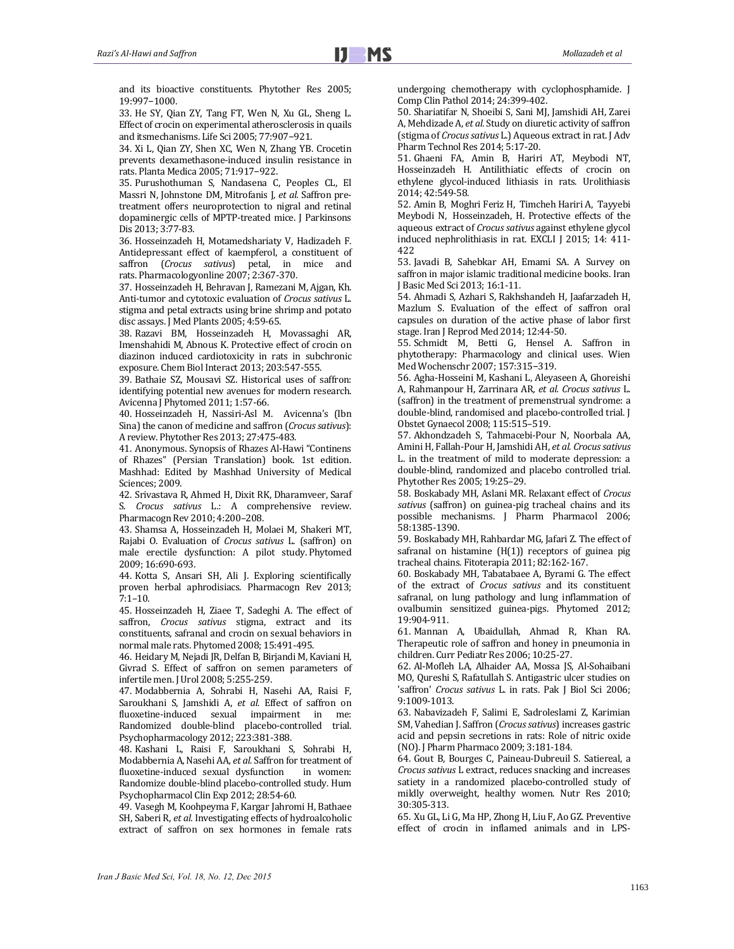and its bioactive constituents. Phytother Res 2005: 19:997−1000.

33. He SY, Qian ZY, Tang FT, Wen N, Xu GL, Sheng L. Effect of crocin on experimental atherosclerosis in quails and itsmechanisms. Life Sci 2005; 77:907-921.

34. Xi L, Qian ZY, Shen XC, Wen N, Zhang YB. Crocetin prevents dexamethasone-induced insulin resistance in rats. Planta Medica 2005; 71:917−922.

35. Purushothuman S, Nandasena C, Peoples CL, El Massri N, Johnstone DM, Mitrofanis J, et al. Saffron pretreatment offers neuroprotection to nigral and retinal dopaminergic cells of MPTP-treated mice. J Parkinsons Dis 2013; 3:77-83.

36. Hosseinzadeh H, Motamedshariaty V, Hadizadeh F, Antidepressant effect of kaempferol, a constituent of saffron (*Crocus sativus*) petal, in mice and rats. Pharmacologyonline 2007; 2:367-370.

37. Hosseinzadeh H, Behravan J, Ramezani M, Ajgan, Kh. Anti-tumor and cytotoxic evaluation of *Crocus sativus* L. stigma and petal extracts using brine shrimp and potato disc assays. J Med Plants 2005; 4:59-65.

38. Razavi BM, Hosseinzadeh H, Movassaghi AR, Imenshahidi M, Abnous K. Protective effect of crocin on diazinon induced cardiotoxicity in rats in subchronic exposure. Chem Biol Interact 2013; 203:547-555.

39. Bathaie SZ, Mousavi SZ. Historical uses of saffron: identifying potential new avenues for modern research. Avicenna J Phytomed 2011; 1:57-66.

40. Hosseinzadeh H, Nassiri-Asl M. Avicenna's (Ibn Sina) the canon of medicine and saffron (Crocus sativus): A review. Phytother Res 2013; 27:475-483.

41. Anonymous. Synopsis of Rhazes Al-Hawi "Continens of Rhazes" (Persian Translation) book. 1st edition. Mashhad: Edited by Mashhad University of Medical Sciences; 2009.

42. Srivastava R, Ahmed H, Dixit RK, Dharamveer, Saraf S. *Crocus sativus* L.: A comprehensive review. Pharmacogn Rev 2010; 4:200-208.

43. Shamsa A, Hosseinzadeh H, Molaei M, Shakeri MT, Rajabi O. Evaluation of *Crocus sativus* L. (saffron) on male erectile dysfunction: A pilot study. Phytomed 2009; 16:690‐693. 

44. Kotta S, Ansari SH, Ali J. Exploring scientifically proven herbal aphrodisiacs. Pharmacogn Rev 2013;  $7:1-10.$ 

45. Hosseinzadeh H, Ziaee T, Sadeghi A. The effect of saffron, *Crocus* sativus stigma, extract and its constituents, safranal and crocin on sexual behaviors in normal male rats. Phytomed 2008; 15:491-495.

46. Heidary M, Nejadi JR, Delfan B, Birjandi M, Kaviani H, Givrad S. Effect of saffron on semen parameters of infertile men. J Urol 2008; 5:255-259.

47. Modabbernia A, Sohrabi H, Nasehi AA, Raisi F, Saroukhani S, Jamshidi A, et al. Effect of saffron on fluoxetine-induced sexual impairment in me: Randomized double-blind placebo-controlled trial. Psychopharmacology 2012; 223:381-388.

48. Kashani L, Raisi F, Saroukhani S, Sohrabi H, Modabbernia A, Nasehi AA, *et al.* Saffron for treatment of fluoxetine-induced sexual dysfunction in women: Randomize double-blind placebo-controlled study. Hum Psychopharmacol Clin Exp 2012; 28:54-60.

49. Vasegh M, Koohpeyma F, Kargar Jahromi H, Bathaee SH, Saberi R, et al. Investigating effects of hydroalcoholic extract of saffron on sex hormones in female rats undergoing chemotherapy with cyclophosphamide. J Comp Clin Pathol 2014; 24:399-402.

50. Shariatifar N, Shoeibi S, Sani MJ, Jamshidi AH, Zarei A, Mehdizade A, *et al.* Study on diuretic activity of saffron (stigma of *Crocus sativus* L.) Aqueous extract in rat. J Adv Pharm Technol Res 2014; 5:17-20.

51. Ghaeni FA, Amin B, Hariri AT, Meybodi NT, Hosseinzadeh H. Antilithiatic effects of crocin on ethylene glycol-induced lithiasis in rats. Urolithiasis 2014; 42:549‐58. 

52. Amin B, Moghri Feriz H, Timcheh Hariri A, Tayyebi Meybodi N, Hosseinzadeh, H. Protective effects of the aqueous extract of *Crocus sativus* against ethylene glycol induced nephrolithiasis in rat. EXCLI J 2015; 14: 411-422 

53. Javadi B, Sahebkar AH, Emami SA. A Survey on saffron in major islamic traditional medicine books. Iran J Basic Med Sci 2013; 16:1-11.

54. Ahmadi S, Azhari S, Rakhshandeh H, Jaafarzadeh H, Mazlum S. Evaluation of the effect of saffron oral capsules on duration of the active phase of labor first stage. Iran J Reprod Med 2014; 12:44-50.

55. Schmidt M, Betti G, Hensel A. Saffron in phytotherapy: Pharmacology and clinical uses. Wien Med Wochenschr 2007; 157:315-319.

56. Agha-Hosseini M, Kashani L, Aleyaseen A, Ghoreishi A, Rahmanpour H, Zarrinara AR*, et al. Crocus sativus* L. (saffron) in the treatment of premenstrual syndrome: a double-blind, randomised and placebo-controlled trial. J Obstet Gynaecol 2008; 115:515-519.

57. Akhondzadeh S, Tahmacebi-Pour N, Noorbala AA, Amini H, Fallah‐Pour H, Jamshidi AH, *et al. Crocussativus* L. in the treatment of mild to moderate depression: a double-blind, randomized and placebo controlled trial. Phytother Res 2005; 19:25-29.

58. Boskabady MH, Aslani MR. Relaxant effect of *Crocus* sativus (saffron) on guinea-pig tracheal chains and its possible mechanisms. J Pharm Pharmacol 2006; 58:1385‐1390. 

59. Boskabady MH, Rahbardar MG, Jafari Z. The effect of safranal on histamine  $(H(1))$  receptors of guinea pig tracheal chains. Fitoterapia 2011; 82:162-167.

60. Boskabady MH, Tabatabaee A, Byrami G. The effect of the extract of *Crocus* sativus and its constituent safranal, on lung pathology and lung inflammation of ovalbumin sensitized guinea-pigs. Phytomed 2012; 19:904‐911. 

61. Mannan A, Ubaidullah, Ahmad R, Khan RA. Therapeutic role of saffron and honey in pneumonia in children. Curr Pediatr Res 2006; 10:25-27.

62. Al‐Mofleh LA, Alhaider AA, Mossa JS, Al‐Sohaibani MO, Qureshi S, Rafatullah S. Antigastric ulcer studies on 'saffron' *Crocus* sativus L. in rats. Pak J Biol Sci 2006; 9:1009‐1013. 

63. Nabavizadeh F, Salimi E, Sadroleslami Z, Karimian SM, Vahedian J. Saffron (*Crocus sativus*) increases gastric acid and pepsin secretions in rats: Role of nitric oxide (NO). J Pharm Pharmaco 2009; 3:181-184.

64. Gout B, Bourges C, Paineau-Dubreuil S. Satiereal, a *Crocus sativus* L extract, reduces snacking and increases satiety in a randomized placebo-controlled study of mildly overweight, healthy women. Nutr Res 2010; 30:305‐313. 

65. Xu GL, Li G, Ma HP, Zhong H, Liu F, Ao GZ. Preventive effect of crocin in inflamed animals and in LPS-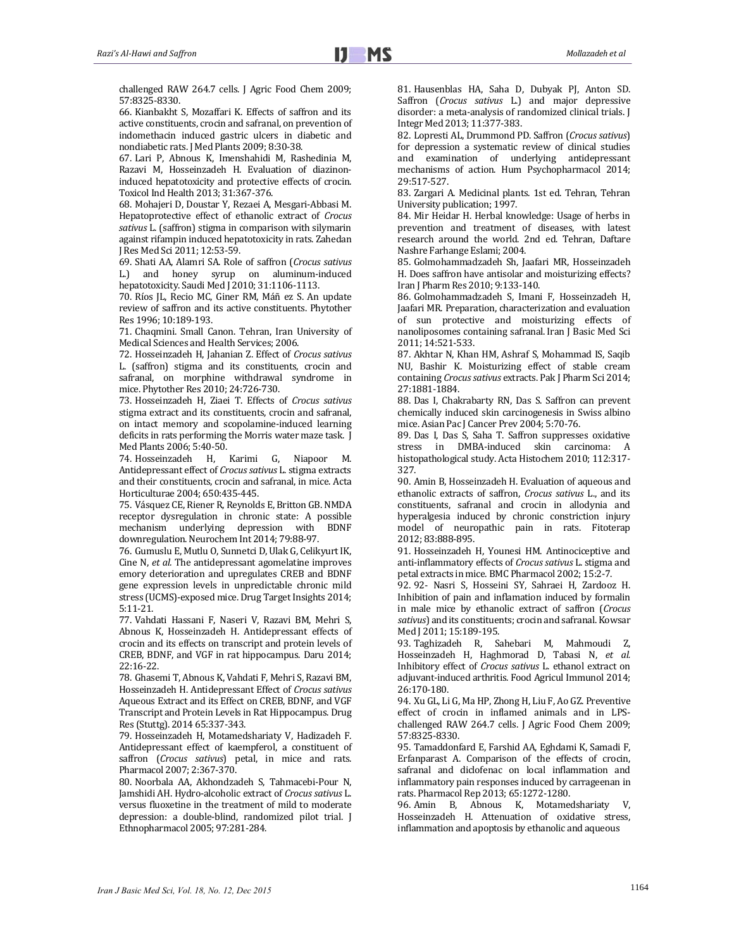challenged RAW 264.7 cells. J Agric Food Chem 2009; 57:8325‐8330. 

66. Kianbakht S, Mozaffari K. Effects of saffron and its active constituents, crocin and safranal, on prevention of indomethacin induced gastric ulcers in diabetic and nondiabetic rats. J Med Plants 2009; 8:30-38.

67. Lari P, Abnous K, Imenshahidi M, Rashedinia M, Razavi M, Hosseinzadeh H. Evaluation of diazinoninduced hepatotoxicity and protective effects of crocin. Toxicol Ind Health 2013; 31:367-376.

68. Mohajeri D, Doustar Y, Rezaei A, Mesgari-Abbasi M. Hepatoprotective effect of ethanolic extract of *Crocus* sativus L. (saffron) stigma in comparison with silymarin against rifampin induced hepatotoxicity in rats. Zahedan J Res Med Sci 2011; 12:53-59.

69. Shati AA, Alamri SA. Role of saffron (*Crocus sativus* L.) and honey syrup on aluminum-induced hepatotoxicity. Saudi Med J 2010; 31:1106-1113.

70. Ríos JL, Recio MC, Giner RM, Máñ ez S. An update review of saffron and its active constituents. Phytother Res 1996: 10:189-193.

71. Chaqmini. Small Canon. Tehran, Iran University of Medical Sciences and Health Services; 2006.

72. Hosseinzadeh H, Jahanian Z. Effect of *Crocus sativus* L. (saffron) stigma and its constituents, crocin and safranal, on morphine withdrawal syndrome in mice. Phytother Res 2010; 24:726-730.

73. Hosseinzadeh H, Ziaei T. Effects of *Crocus sativus* stigma extract and its constituents, crocin and safranal, on intact memory and scopolamine-induced learning deficits in rats performing the Morris water maze task. J Med Plants 2006; 5:40-50.

74. Hosseinzadeh H, Karimi G, Niapoor M. Antidepressant effect of *Crocus* sativus L. stigma extracts and their constituents, crocin and safranal, in mice. Acta Horticulturae 2004; 650:435-445.

75. Vásquez CE, Riener R, Reynolds E, Britton GB. NMDA receptor dysregulation in chronic state: A possible mechanism underlying depression with BDNF downregulation. Neurochem Int 2014; 79:88-97.

76. Gumuslu E, Mutlu O, Sunnetci D, Ulak G, Celikvurt IK, Cine N, *et al.* The antidepressant agomelatine improves emory deterioration and upregulates CREB and BDNF gene expression levels in unpredictable chronic mild stress (UCMS)-exposed mice. Drug Target Insights 2014; 5:11‐21. 

77. Vahdati Hassani F, Naseri V, Razavi BM, Mehri S, Abnous K, Hosseinzadeh H. Antidepressant effects of crocin and its effects on transcript and protein levels of CREB, BDNF, and VGF in rat hippocampus. Daru 2014; 22:16‐22. 

78. Ghasemi T, Abnous K, Vahdati F, Mehri S, Razavi BM, Hosseinzadeh H. Antidepressant Effect of *Crocus sativus* Aqueous Extract and its Effect on CREB, BDNF, and VGF Transcript and Protein Levels in Rat Hippocampus. Drug Res (Stuttg). 2014 65:337-343.

79. Hosseinzadeh H, Motamedshariaty V, Hadizadeh F. Antidepressant effect of kaempferol, a constituent of saffron (*Crocus sativus*) petal, in mice and rats. Pharmacol 2007; 2:367-370.

80. Noorbala AA, Akhondzadeh S, Tahmacebi-Pour N, Jamshidi AH. Hydro-alcoholic extract of *Crocus sativus* L. versus fluoxetine in the treatment of mild to moderate depression: a double-blind, randomized pilot trial. J Ethnopharmacol 2005; 97:281-284.

81. Hausenblas HA, Saha D, Dubyak PJ, Anton SD. Saffron (*Crocus sativus* L.) and major depressive disorder: a meta-analysis of randomized clinical trials. J Integr Med 2013; 11:377‐383. 

82. Lopresti AL, Drummond PD. Saffron (*Crocus sativus*) for depression a systematic review of clinical studies and examination of underlying antidepressant mechanisms of action. Hum Psychopharmacol 2014; 29:517‐527. 

83. Zargari A. Medicinal plants. 1st ed. Tehran, Tehran University publication; 1997.

84. Mir Heidar H. Herbal knowledge: Usage of herbs in prevention and treatment of diseases, with latest research around the world. 2nd ed. Tehran, Daftare Nashre Farhange Eslami; 2004.

85. Golmohammadzadeh Sh, Jaafari MR, Hosseinzadeh H. Does saffron have antisolar and moisturizing effects? Iran J Pharm Res 2010; 9:133-140.

86. Golmohammadzadeh S, Imani F, Hosseinzadeh H, Jaafari MR. Preparation, characterization and evaluation of sun protective and moisturizing effects of nanoliposomes containing safranal. Iran J Basic Med Sci 2011; 14:521‐533. 

87. Akhtar N, Khan HM, Ashraf S, Mohammad IS, Saqib NU, Bashir K. Moisturizing effect of stable cream containing *Crocus sativus* extracts. Pak J Pharm Sci 2014; 27:1881‐1884. 

88. Das I, Chakrabarty RN, Das S. Saffron can prevent chemically induced skin carcinogenesis in Swiss albino mice. Asian Pac J Cancer Prev 2004; 5:70-76.

89. Das I, Das S, Saha T. Saffron suppresses oxidative stress in DMBA-induced skin carcinoma: A histopathological study. Acta Histochem 2010; 112:317-327. 

90. Amin B, Hosseinzadeh H. Evaluation of aqueous and ethanolic extracts of saffron, *Crocus sativus* L., and its constituents, safranal and crocin in allodynia and hyperalgesia induced by chronic constriction injury model of neuropathic pain in rats. Fitoterap 2012; 83:888‐895. 

91. Hosseinzadeh H, Younesi HM. Antinociceptive and anti‐inflammatory effects of *Crocus sativus* L. stigma and petal extracts in mice. BMC Pharmacol 2002; 15:2-7.

92. 92- Nasri S, Hosseini SY, Sahraei H, Zardooz H. Inhibition of pain and inflamation induced by formalin in male mice by ethanolic extract of saffron (*Crocus* sativus) and its constituents; crocin and safranal. Kowsar Med J 2011; 15:189-195.

93. Taghizadeh R, Sahebari M, Mahmoudi Z, Hosseinzadeh H, Haghmorad D, Tabasi N, *et al.* Inhibitory effect of *Crocus sativus* L. ethanol extract on adjuvant-induced arthritis. Food Agricul Immunol 2014; 26:170‐180. 

94. Xu GL, Li G, Ma HP, Zhong H, Liu F, Ao GZ. Preventive effect of crocin in inflamed animals and in LPSchallenged RAW 264.7 cells. J Agric Food Chem 2009; 57:8325‐8330. 

95. Tamaddonfard E, Farshid AA, Eghdami K, Samadi F, Erfanparast A. Comparison of the effects of crocin, safranal and diclofenac on local inflammation and inflammatory pain responses induced by carrageenan in rats. Pharmacol Rep 2013; 65:1272-1280.

96. Amin B, Abnous K, Motamedshariaty V, Hosseinzadeh H. Attenuation of oxidative stress, inflammation and apoptosis by ethanolic and aqueous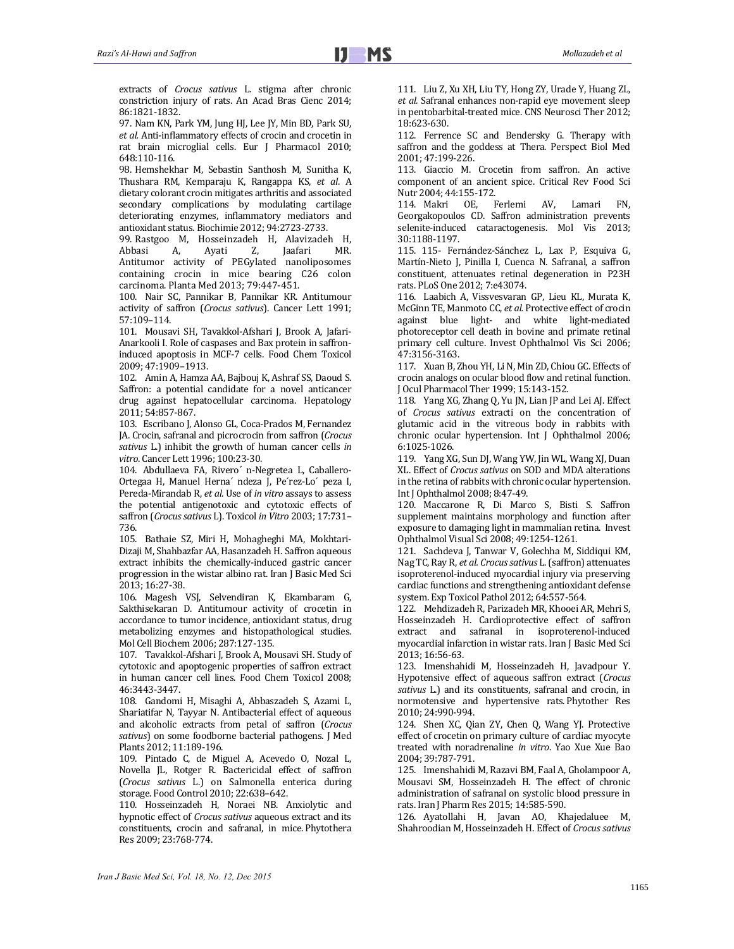extracts of *Crocus sativus* L. stigma after chronic constriction injury of rats. An Acad Bras Cienc 2014; 86:1821‐1832. 

97. Nam KN, Park YM, Jung HJ, Lee JY, Min BD, Park SU, et *al.* Anti-inflammatory effects of crocin and crocetin in rat brain microglial cells. Eur J Pharmacol 2010; 648:110‐116. 

98. Hemshekhar M, Sebastin Santhosh M, Sunitha K, Thushara RM, Kemparaju K, Rangappa KS, *et al*. A dietary colorant crocin mitigates arthritis and associated secondary complications by modulating cartilage deteriorating enzymes, inflammatory mediators and antioxidant status. Biochimie 2012; 94:2723-2733.

99. Rastgoo M, Hosseinzadeh H, Alavizadeh H,<br>Abbasi A, Ayati Z, Jaafari MR. Abbasi A, Ayati Z, Jaafari MR. Antitumor activity of PEGylated nanoliposomes containing crocin in mice bearing C26 colon carcinoma. Planta Med 2013; 79:447‐451. 

100. Nair SC, Pannikar B, Pannikar KR. Antitumour activity of saffron (*Crocus sativus*). Cancer Lett 1991; 57:109–114. 

101. Mousavi SH, Tavakkol-Afshari J, Brook A, Jafari-Anarkooli I. Role of caspases and Bax protein in saffroninduced apoptosis in MCF-7 cells. Food Chem Toxicol 2009; 47:1909–1913. 

102. Amin A, Hamza AA, Bajbouj K, Ashraf SS, Daoud S. Saffron: a potential candidate for a novel anticancer drug against hepatocellular carcinoma. Hepatology 2011; 54:857‐867. 

103. Escribano J, Alonso GL, Coca-Prados M, Fernandez JA. Crocin, safranal and picrocrocin from saffron (*Crocus* sativus L.) inhibit the growth of human cancer cells in vitro. Cancer Lett 1996; 100:23-30.

104. Abdullaeva FA, Rivero' n-Negretea L, Caballero-Ortegaa H, Manuel Herna' ndeza J, Pe'rez-Lo' peza I, Pereda-Mirandab R, et al. Use of *in vitro* assays to assess the potential antigenotoxic and cytotoxic effects of saffron (Crocus sativus L). Toxicol in Vitro 2003; 17:731-736. 

105. Bathaie SZ, Miri H, Mohagheghi MA, Mokhtari-Dizaji M, Shahbazfar AA, Hasanzadeh H, Saffron aqueous extract inhibits the chemically-induced gastric cancer progression in the wistar albino rat. Iran J Basic Med Sci 2013; 16:27‐38. 

106. Magesh VSJ, Selvendiran K, Ekambaram G, Sakthisekaran D. Antitumour activity of crocetin in accordance to tumor incidence, antioxidant status, drug metabolizing enzymes and histopathological studies. Mol Cell Biochem 2006; 287:127-135.

107. Tavakkol-Afshari J, Brook A, Mousavi SH. Study of cytotoxic and apoptogenic properties of saffron extract in human cancer cell lines. Food Chem Toxicol 2008; 46:3443‐3447. 

108. Gandomi H, Misaghi A, Abbaszadeh S, Azami L, Shariatifar N, Tayyar N. Antibacterial effect of aqueous and alcoholic extracts from petal of saffron (*Crocus* sativus) on some foodborne bacterial pathogens. J Med Plants 2012; 11:189-196.

109. Pintado C, de Miguel A, Acevedo O, Nozal L, Novella JL, Rotger R. Bactericidal effect of saffron (*Crocus sativus* L.) on Salmonella enterica during storage. Food Control 2010; 22:638-642.

110. Hosseinzadeh H, Noraei NB. Anxiolytic and hypnotic effect of *Crocus* sativus aqueous extract and its constituents, crocin and safranal, in mice. Phytothera Res 2009; 23:768-774.

111. Liu Z, Xu XH, Liu TY, Hong ZY, Urade Y, Huang ZL, et *al.* Safranal enhances non-rapid eye movement sleep in pentobarbital-treated mice. CNS Neurosci Ther 2012; 18:623‐630. 

112. Ferrence SC and Bendersky G. Therapy with saffron and the goddess at Thera. Perspect Biol Med 2001; 47:199‐226. 

113. Giaccio M. Crocetin from saffron. An active component of an ancient spice. Critical Rev Food Sci Nutr 2004; 44:155-172.

114. Makri OE, Ferlemi AV, Lamari FN, Georgakopoulos CD. Saffron administration prevents selenite-induced cataractogenesis. Mol Vis 2013; 30:1188‐1197. 

115. 115- Fernández-Sánchez L, Lax P, Esquiva G, Martín-Nieto J, Pinilla I, Cuenca N. Safranal, a saffron constituent, attenuates retinal degeneration in P23H rats. PLoS One 2012; 7:e43074.

116. Laabich A, Vissvesvaran GP, Lieu KL, Murata K, McGinn TE, Manmoto CC, et al. Protective effect of crocin against blue light- and white light-mediated photoreceptor cell death in bovine and primate retinal primary cell culture. Invest Ophthalmol Vis Sci 2006; 47:3156‐3163. 

117. Xuan B, Zhou YH, Li N, Min ZD, Chiou GC. Effects of crocin analogs on ocular blood flow and retinal function. J Ocul Pharmacol Ther 1999; 15:143-152.

118. Yang XG, Zhang Q, Yu JN, Lian JP and Lei AJ. Effect of *Crocus* sativus extracti on the concentration of glutamic acid in the vitreous body in rabbits with chronic ocular hypertension. Int J Ophthalmol 2006; 6:1025‐1026. 

119. Yang XG, Sun DJ, Wang YW, Jin WL, Wang XJ, Duan XL. Effect of *Crocus sativus* on SOD and MDA alterations in the retina of rabbits with chronic ocular hypertension. Int J Ophthalmol 2008; 8:47-49.

120. Maccarone R, Di Marco S, Bisti S. Saffron supplement maintains morphology and function after exposure to damaging light in mammalian retina. Invest Ophthalmol Visual Sci 2008; 49:1254-1261.

121. Sachdeva J, Tanwar V, Golechha M, Siddiqui KM, Nag TC, Ray R, et al. Crocus sativus L. (saffron) attenuates isoproterenol-induced myocardial injury via preserving cardiac functions and strengthening antioxidant defense system. Exp Toxicol Pathol 2012; 64:557-564.

122. Mehdizadeh R, Parizadeh MR, Khooei AR, Mehri S, Hosseinzadeh H. Cardioprotective effect of saffron extract and safranal in isoproterenol-induced myocardial infarction in wistar rats. Iran J Basic Med Sci 2013; 16:56‐63. 

123. Imenshahidi M, Hosseinzadeh H, Javadpour Y. Hypotensive effect of aqueous saffron extract (*Crocus* sativus L.) and its constituents, safranal and crocin, in normotensive and hypertensive rats. Phytother Res 2010; 24:990‐994. 

124. Shen XC, Qian ZY, Chen Q, Wang YJ. Protective effect of crocetin on primary culture of cardiac myocyte treated with noradrenaline *in vitro*. Yao Xue Xue Bao 2004; 39:787‐791. 

125. Imenshahidi M, Razavi BM, Faal A, Gholampoor A, Mousavi SM, Hosseinzadeh H. The effect of chronic administration of safranal on systolic blood pressure in rats. Iran J Pharm Res 2015; 14:585-590.

126. Ayatollahi H, Javan AO, Khajedaluee M, Shahroodian M, Hosseinzadeh H. Effect of *Crocus sativus*

*Iran J Basic Med Sci, Vol. 18, No. 12, Dec 2015*